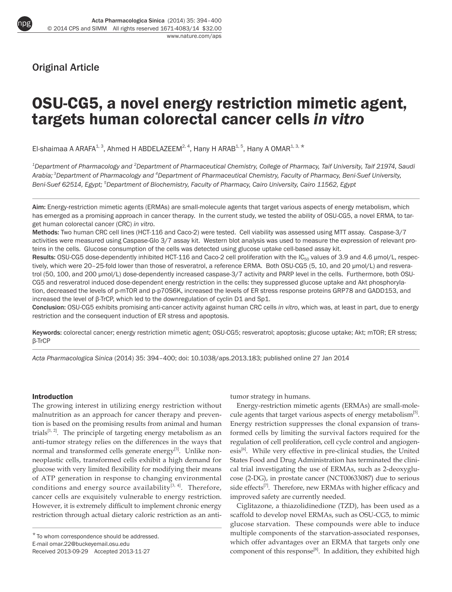Original Article

npg

# OSU-CG5, a novel energy restriction mimetic agent, targets human colorectal cancer cells *in vitro*

El-shaimaa A ARAFA<sup>1, 3</sup>, Ahmed H ABDELAZEEM<sup>2, 4</sup>, Hany H ARAB<sup>1, 5</sup>, Hany A OMAR<sup>1, 3, \*</sup>

*<sup>1</sup>Department of Pharmacology and <sup>2</sup>Department of Pharmaceutical Chemistry, College of Pharmacy, Taif University, Taif 21974, Saudi Arabia;<sup>3</sup>Department of Pharmacology and <sup>4</sup>Department of Pharmaceutical Chemistry, Faculty of Pharmacy, Beni-Suef University, Beni-Suef 62514, Egypt; <sup>5</sup>Department of Biochemistry, Faculty of Pharmacy, Cairo University, Cairo 11562, Egypt*

Aim: Energy-restriction mimetic agents (ERMAs) are small-molecule agents that target various aspects of energy metabolism, which has emerged as a promising approach in cancer therapy. In the current study, we tested the ability of OSU-CG5, a novel ERMA, to target human colorectal cancer (CRC) *in vitro*.

Methods: Two human CRC cell lines (HCT-116 and Caco-2) were tested. Cell viability was assessed using MTT assay. Caspase-3/7 activities were measured using Caspase-Glo 3/7 assay kit. Western blot analysis was used to measure the expression of relevant proteins in the cells. Glucose consumption of the cells was detected using glucose uptake cell-based assay kit.

Results: OSU-CG5 dose-dependently inhibited HCT-116 and Caco-2 cell proliferation with the IC<sub>50</sub> values of 3.9 and 4.6 μmol/L, respectively, which were 20–25-fold lower than those of resveratrol, a reference ERMA. Both OSU-CG5 (5, 10, and 20 μmol/L) and resveratrol (50, 100, and 200 μmol/L) dose-dependently increased caspase-3/7 activity and PARP level in the cells. Furthermore, both OSU-CG5 and resveratrol induced dose-dependent energy restriction in the cells: they suppressed glucose uptake and Akt phosphorylation, decreased the levels of p-mTOR and p-p70S6K, increased the levels of ER stress response proteins GRP78 and GADD153, and increased the level of β-TrCP, which led to the downregulation of cyclin D1 and Sp1.

Conclusion: OSU-CG5 exhibits promising anti-cancer activity against human CRC cells *in vitro*, which was, at least in part, due to energy restriction and the consequent induction of ER stress and apoptosis.

Keywords: colorectal cancer; energy restriction mimetic agent; OSU-CG5; resveratrol; apoptosis; glucose uptake; Akt; mTOR; ER stress; β-TrCP

*Acta Pharmacologica Sinica* (2014) 35: 394–400; doi: 10.1038/aps.2013.183; published online 27 Jan 2014

## Introduction

The growing interest in utilizing energy restriction without malnutrition as an approach for cancer therapy and prevention is based on the promising results from animal and human trials<sup>[1, 2]</sup>. The principle of targeting energy metabolism as an anti-tumor strategy relies on the differences in the ways that normal and transformed cells generate energy<sup>[3]</sup>. Unlike nonneoplastic cells, transformed cells exhibit a high demand for glucose with very limited flexibility for modifying their means of ATP generation in response to changing environmental conditions and energy source availability<sup>[3, 4]</sup>. Therefore, cancer cells are exquisitely vulnerable to energy restriction. However, it is extremely difficult to implement chronic energy restriction through actual dietary caloric restriction as an antitumor strategy in humans.

Energy-restriction mimetic agents (ERMAs) are small-molecule agents that target various aspects of energy metabolism<sup>[5]</sup>. Energy restriction suppresses the clonal expansion of transformed cells by limiting the survival factors required for the regulation of cell proliferation, cell cycle control and angiogenesis<sup>[6]</sup>. While very effective in pre-clinical studies, the United States Food and Drug Administration has terminated the clinical trial investigating the use of ERMAs, such as 2-deoxyglucose (2-DG), in prostate cancer (NCT00633087) due to serious side effects<sup>[7]</sup>. Therefore, new ERMAs with higher efficacy and improved safety are currently needed.

Ciglitazone, a thiazolidinedione (TZD), has been used as a scaffold to develop novel ERMAs, such as OSU-CG5, to mimic glucose starvation. These compounds were able to induce multiple components of the starvation-associated responses, which offer advantages over an ERMA that targets only one component of this response<sup>[8]</sup>. In addition, they exhibited high

<sup>\*</sup> To whom correspondence should be addressed. E-mail omar.22@buckeyemail.osu.edu Received 2013-09-29 Accepted 2013-11-27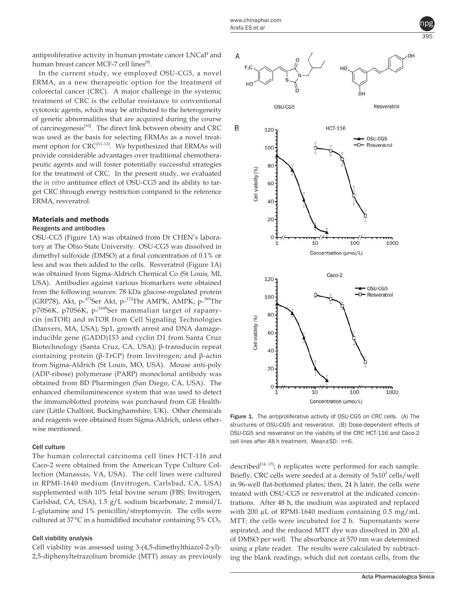antiproliferative activity in human prostate cancer LNCaP and human breast cancer MCF-7 cell lines<sup>[9]</sup>.

In the current study, we employed OSU-CG5, a novel ERMA, as a new therapeutic option for the treatment of colorectal cancer (CRC). A major challenge in the systemic treatment of CRC is the cellular resistance to conventional cytotoxic agents, which may be attributed to the heterogeneity of genetic abnormalities that are acquired during the course of carcinogenesis<sup>[10]</sup>. The direct link between obesity and CRC was used as the basis for selecting ERMAs as a novel treatment option for CRC<sup>[11-13]</sup>. We hypothesized that ERMAs will provide considerable advantages over traditional chemotherapeutic agents and will foster potentially successful strategies for the treatment of CRC. In the present study, we evaluated the *in vitro* antitumor effect of OSU-CG5 and its ability to target CRC through energy restriction compared to the reference ERMA, resveratrol.

# Materials and methods

## Reagents and antibodies

OSU-CG5 (Figure 1A) was obtained from Dr CHEN's laboratory at The Ohio State University. OSU-CG5 was dissolved in dimethyl sulfoxide (DMSO) at a final concentration of 0.1% or less and was then added to the cells. Resveratrol (Figure 1A) was obtained from Sigma-Aldrich Chemical Co (St Louis, MI, USA). Antibodies against various biomarkers were obtained from the following sources: 78 kDa glucose-regulated protein (GRP78), Akt, p-<sup>473</sup>Ser Akt, p-<sup>172</sup>Thr AMPK, AMPK, p-<sup>389</sup>Thr p70S6K, p70S6K, p-<sup>2448</sup>Ser mammalian target of rapamycin (mTOR) and mTOR from Cell Signaling Technologies (Danvers, MA, USA); Sp1, growth arrest and DNA damageinducible gene (GADD)153 and cyclin D1 from Santa Cruz Biotechnology (Santa Cruz, CA, USA); β-transducin repeat containing protein (β-TrCP) from Invitrogen; and β-actin from Sigma-Aldrich (St Louis, MO, USA). Mouse anti-poly (ADP-ribose) polymerase (PARP) monoclonal antibody was obtained from BD Pharmingen (San Diego, CA, USA). The enhanced chemiluminescence system that was used to detect the immunoblotted proteins was purchased from GE Healthcare (Little Chalfont, Buckinghamshire, UK). Other chemicals and reagents were obtained from Sigma-Aldrich, unless otherwise mentioned.

## Cell culture

The human colorectal carcinoma cell lines HCT-116 and Caco-2 were obtained from the American Type Culture Collection (Manassas, VA, USA). The cell lines were cultured in RPMI-1640 medium (Invitrogen, Carlsbad, CA, USA) supplemented with 10% fetal bovine serum (FBS; Invitrogen, Carlsbad, CA, USA), 1.5 g/L sodium bicarbonate, 2 mmol/L *L*-glutamine and 1% penicillin/streptomycin. The cells were cultured at 37°C in a humidified incubator containing 5% CO<sub>2</sub>.

## Cell viability analysis

Cell viability was assessed using 3-(4,5-dimethylthiazol-2-yl)- 2,5-diphenyltetrazolium bromide (MTT) assay as previously



Figure 1. The antiproliferative activity of OSU-CG5 on CRC cells. (A) The structures of OSU-CG5 and resveratrol. (B) Dose-dependent effects of OSU-CG5 and resveratrol on the viability of the CRC HCT-116 and Caco-2 cell lines after 48 h treatment. Mean±SD. *n*=6.

described $[14, 15]$ ; 6 replicates were performed for each sample. Briefly, CRC cells were seeded at a density of  $5x10<sup>3</sup>$  cells/well in 96-well flat-bottomed plates; then, 24 h later, the cells were treated with OSU-CG5 or resveratrol at the indicated concentrations. After 48 h, the medium was aspirated and replaced with 200 µL of RPMI-1640 medium containing 0.5 mg/mL MTT; the cells were incubated for 2 h. Supernatants were aspirated, and the reduced MTT dye was dissolved in 200 µL of DMSO per well. The absorbance at 570 nm was determined using a plate reader. The results were calculated by subtracting the blank readings, which did not contain cells, from the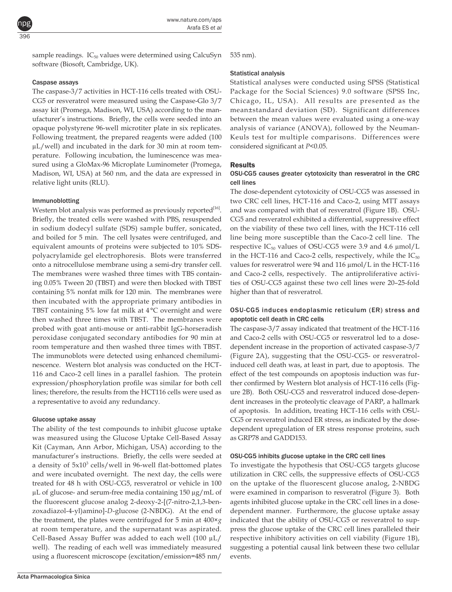sample readings.  $IC_{50}$  values were determined using CalcuSyn software (Biosoft, Cambridge, UK).

#### Caspase assays

The caspase-3/7 activities in HCT-116 cells treated with OSU-CG5 or resveratrol were measured using the Caspase-Glo 3/7 assay kit (Promega, Madison, WI, USA) according to the manufacturer's instructions. Briefly, the cells were seeded into an opaque polystyrene 96-well microtiter plate in six replicates. Following treatment, the prepared reagents were added (100 µL/well) and incubated in the dark for 30 min at room temperature. Following incubation, the luminescence was measured using a GloMax-96 Microplate Luminometer (Promega, Madison, WI, USA) at 560 nm, and the data are expressed in relative light units (RLU).

#### Immunoblotting

Western blot analysis was performed as previously reported<sup>[16]</sup>. Briefly, the treated cells were washed with PBS, resuspended in sodium dodecyl sulfate (SDS) sample buffer, sonicated, and boiled for 5 min. The cell lysates were centrifuged, and equivalent amounts of proteins were subjected to 10% SDSpolyacrylamide gel electrophoresis. Blots were transferred onto a nitrocellulose membrane using a semi-dry transfer cell. The membranes were washed three times with TBS containing 0.05% Tween 20 (TBST) and were then blocked with TBST containing 5% nonfat milk for 120 min. The membranes were then incubated with the appropriate primary antibodies in TBST containing 5% low fat milk at 4°C overnight and were then washed three times with TBST. The membranes were probed with goat anti-mouse or anti-rabbit IgG-horseradish peroxidase conjugated secondary antibodies for 90 min at room temperature and then washed three times with TBST. The immunoblots were detected using enhanced chemiluminescence. Western blot analysis was conducted on the HCT-116 and Caco-2 cell lines in a parallel fashion. The protein expression/phosphorylation profile was similar for both cell lines; therefore, the results from the HCT116 cells were used as a representative to avoid any redundancy.

#### Glucose uptake assay

The ability of the test compounds to inhibit glucose uptake was measured using the Glucose Uptake Cell-Based Assay Kit (Cayman, Ann Arbor, Michigan, USA) according to the manufacturer's instructions. Briefly, the cells were seeded at a density of  $5x10^3$  cells/well in 96-well flat-bottomed plates and were incubated overnight. The next day, the cells were treated for 48 h with OSU-CG5, resveratrol or vehicle in 100 µL of glucose- and serum-free media containing 150 µg/mL of the fluorescent glucose analog 2-deoxy-2-[(7-nitro-2,1,3-benzoxadiazol-4-yl)amino]-*D*-glucose (2-NBDG). At the end of the treatment, the plates were centrifuged for 5 min at 400×*g* at room temperature, and the supernatant was aspirated. Cell-Based Assay Buffer was added to each well (100 µL/ well). The reading of each well was immediately measured using a fluorescent microscope (excitation/emission=485 nm/

535 nm).

#### Statistical analysis

Statistical analyses were conducted using SPSS (Statistical Package for the Social Sciences) 9.0 software (SPSS Inc, Chicago, IL, USA). All results are presented as the mean±standard deviation (SD). Significant differences between the mean values were evaluated using a one-way analysis of variance (ANOVA), followed by the Neuman-Keuls test for multiple comparisons. Differences were considered significant at *P*<0.05.

#### Results

## OSU-CG5 causes greater cytotoxicity than resveratrol in the CRC cell lines

The dose-dependent cytotoxicity of OSU-CG5 was assessed in two CRC cell lines, HCT-116 and Caco-2, using MTT assays and was compared with that of resveratrol (Figure 1B). OSU-CG5 and resveratrol exhibited a differential, suppressive effect on the viability of these two cell lines, with the HCT-116 cell line being more susceptible than the Caco-2 cell line. The respective  $IC_{50}$  values of OSU-CG5 were 3.9 and 4.6  $\mu$ mol/L in the HCT-116 and Caco-2 cells, respectively, while the  $IC_{50}$ values for resveratrol were 94 and 116 µmol/L in the HCT-116 and Caco-2 cells, respectively. The antiproliferative activities of OSU-CG5 against these two cell lines were 20–25-fold higher than that of resveratrol.

## OSU-CG5 induces endoplasmic reticulum (ER) stress and apoptotic cell death in CRC cells

The caspase-3/7 assay indicated that treatment of the HCT-116 and Caco-2 cells with OSU-CG5 or resveratrol led to a dosedependent increase in the proportion of activated caspase-3/7 (Figure 2A), suggesting that the OSU-CG5- or resveratrolinduced cell death was, at least in part, due to apoptosis. The effect of the test compounds on apoptosis induction was further confirmed by Western blot analysis of HCT-116 cells (Figure 2B). Both OSU-CG5 and resveratrol induced dose-dependent increases in the proteolytic cleavage of PARP, a hallmark of apoptosis. In addition, treating HCT-116 cells with OSU-CG5 or resveratrol induced ER stress, as indicated by the dosedependent upregulation of ER stress response proteins, such as GRP78 and GADD153.

#### OSU-CG5 inhibits glucose uptake in the CRC cell lines

To investigate the hypothesis that OSU-CG5 targets glucose utilization in CRC cells, the suppressive effects of OSU-CG5 on the uptake of the fluorescent glucose analog, 2-NBDG were examined in comparison to resveratrol (Figure 3). Both agents inhibited glucose uptake in the CRC cell lines in a dosedependent manner. Furthermore, the glucose uptake assay indicated that the ability of OSU-CG5 or resveratrol to suppress the glucose uptake of the CRC cell lines paralleled their respective inhibitory activities on cell viability (Figure 1B), suggesting a potential causal link between these two cellular events.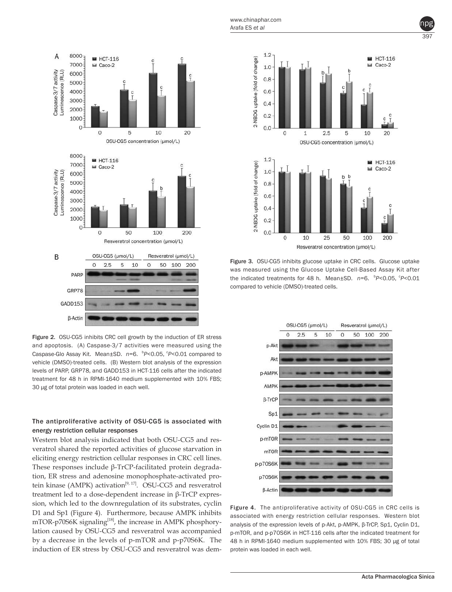

Figure 2. OSU-CG5 inhibits CRC cell growth by the induction of ER stress and apoptosis. (A) Caspase-3/7 activities were measured using the Caspase-Glo Assay Kit. Mean±SD. n=6. P<0.05, P<0.01 compared to vehicle (DMSO)-treated cells. (B) Western blot analysis of the expression levels of PARP, GRP78, and GADD153 in HCT-116 cells after the indicated treatment for 48 h in RPMI-1640 medium supplemented with 10% FBS; 30 µg of total protein was loaded in each well.

## The antiproliferative activity of OSU-CG5 is associated with energy restriction cellular responses

Western blot analysis indicated that both OSU-CG5 and resveratrol shared the reported activities of glucose starvation in eliciting energy restriction cellular responses in CRC cell lines. These responses include β-TrCP-facilitated protein degradation, ER stress and adenosine monophosphate-activated protein kinase (AMPK) activation<sup>[9, 17]</sup>. OSU-CG5 and resveratrol treatment led to a dose-dependent increase in β-TrCP expression, which led to the downregulation of its substrates, cyclin D1 and Sp1 (Figure 4). Furthermore, because AMPK inhibits mTOR-p70S6K signaling<sup>[18]</sup>, the increase in AMPK phosphorylation caused by OSU-CG5 and resveratrol was accompanied by a decrease in the levels of p-mTOR and p-p70S6K. The induction of ER stress by OSU-CG5 and resveratrol was dem-



Figure 3. OSU-CG5 inhibits glucose uptake in CRC cells. Glucose uptake was measured using the Glucose Uptake Cell-Based Assay Kit after the indicated treatments for 48 h. Mean±SD.  $n=6$ .  $\frac{bP}{0.05}$ ,  $\frac{cP}{0.01}$ compared to vehicle (DMSO)-treated cells.



Figure 4. The antiproliferative activity of OSU-CG5 in CRC cells is associated with energy restriction cellular responses. Western blot analysis of the expression levels of p-Akt, p-AMPK, β-TrCP, Sp1, Cyclin D1, p-mTOR, and p-p70S6K in HCT-116 cells after the indicated treatment for 48 h in RPMI-1640 medium supplemented with 10% FBS; 30 µg of total protein was loaded in each well.

397 npg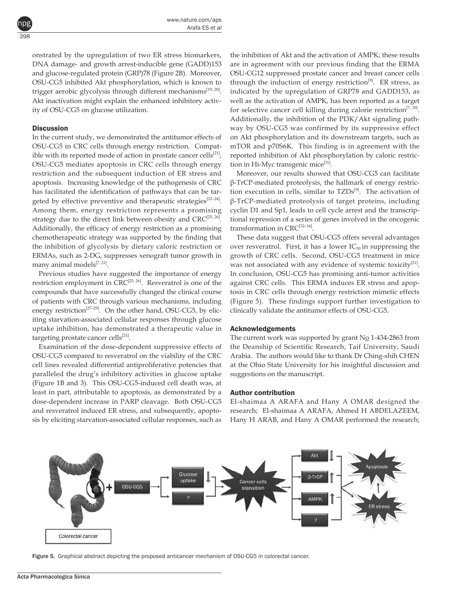onstrated by the upregulation of two ER stress biomarkers, DNA damage- and growth arrest-inducible gene (GADD)153 and glucose-regulated protein (GRP)78 (Figure 2B). Moreover, OSU-CG5 inhibited Akt phosphorylation, which is known to trigger aerobic glycolysis through different mechanisms<sup>[19, 20]</sup>. Akt inactivation might explain the enhanced inhibitory activity of OSU-CG5 on glucose utilization.

## **Discussion**

398

npg

In the current study, we demonstrated the antitumor effects of OSU-CG5 in CRC cells through energy restriction. Compatible with its reported mode of action in prostate cancer cells $^{[21]}$ , OSU-CG5 mediates apoptosis in CRC cells through energy restriction and the subsequent induction of ER stress and apoptosis. Increasing knowledge of the pathogenesis of CRC has facilitated the identification of pathways that can be targeted by effective preventive and therapeutic strategies<sup>[22-24]</sup>. Among them, energy restriction represents a promising strategy due to the direct link between obesity and  $\text{CRC}^{\{25, 26\}}$ . Additionally, the efficacy of energy restriction as a promising chemotherapeutic strategy was supported by the finding that the inhibition of glycolysis by dietary caloric restriction or ERMAs, such as 2-DG, suppresses xenograft tumor growth in many animal models<sup>[7, 21]</sup>.

Previous studies have suggested the importance of energy restriction employment in  $CRC^{[25, 26]}$ . Resveratrol is one of the compounds that have successfully changed the clinical course of patients with CRC through various mechanisms, including energy restriction<sup>[27–29]</sup>. On the other hand, OSU-CG5, by eliciting starvation-associated cellular responses through glucose uptake inhibition, has demonstrated a therapeutic value in targeting prostate cancer cells<sup>[21]</sup>.

Examination of the dose-dependent suppressive effects of OSU-CG5 compared to resveratrol on the viability of the CRC cell lines revealed differential antiproliferative potencies that paralleled the drug's inhibitory activities in glucose uptake (Figure 1B and 3). This OSU-CG5-induced cell death was, at least in part, attributable to apoptosis, as demonstrated by a dose-dependent increase in PARP cleavage. Both OSU-CG5 and resveratrol induced ER stress, and subsequently, apoptosis by eliciting starvation-associated cellular responses, such as

the inhibition of Akt and the activation of AMPK; these results are in agreement with our previous finding that the ERMA OSU-CG12 suppressed prostate cancer and breast cancer cells through the induction of energy restriction<sup>[9]</sup>. ER stress, as indicated by the upregulation of GRP78 and GADD153, as well as the activation of AMPK, has been reported as a target for selective cancer cell killing during calorie restriction $[7, 30]$ . Additionally, the inhibition of the PI3K/Akt signaling pathway by OSU-CG5 was confirmed by its suppressive effect on Akt phosphorylation and its downstream targets, such as mTOR and p70S6K. This finding is in agreement with the reported inhibition of Akt phosphorylation by caloric restriction in Hi-Myc transgenic mice<sup>[31]</sup>.

Moreover, our results showed that OSU-CG5 can facilitate β-TrCP-mediated proteolysis, the hallmark of energy restriction execution in cells, similar to TZDs<sup>[9]</sup>. The activation of β-TrCP-mediated proteolysis of target proteins, including cyclin D1 and Sp1, leads to cell cycle arrest and the transcriptional repression of a series of genes involved in the oncogenic transformation in CRC<sup>[32-34]</sup>.

These data suggest that OSU-CG5 offers several advantages over resveratrol. First, it has a lower  $IC_{50}$  in suppressing the growth of CRC cells. Second, OSU-CG5 treatment in mice was not associated with any evidence of systemic toxicity<sup>[21]</sup>. In conclusion, OSU-CG5 has promising anti-tumor activities against CRC cells. This ERMA induces ER stress and apoptosis in CRC cells through energy restriction mimetic effects (Figure 5). These findings support further investigation to clinically validate the antitumor effects of OSU-CG5.

#### Acknowledgements

The current work was supported by grant  $N_0$  1-434-2863 from the Deanship of Scientific Research, Taif University, Saudi Arabia. The authors would like to thank Dr Ching-shih CHEN at the Ohio State University for his insightful discussion and suggestions on the manuscript.

#### Author contribution

El-shaimaa A ARAFA and Hany A OMAR designed the research; El-shaimaa A ARAFA, Ahmed H ABDELAZEEM, Hany H ARAB, and Hany A OMAR performed the research;



Figure 5. Graphical abstract depicting the proposed anticancer mechanism of OSU-CG5 in colorectal cancer.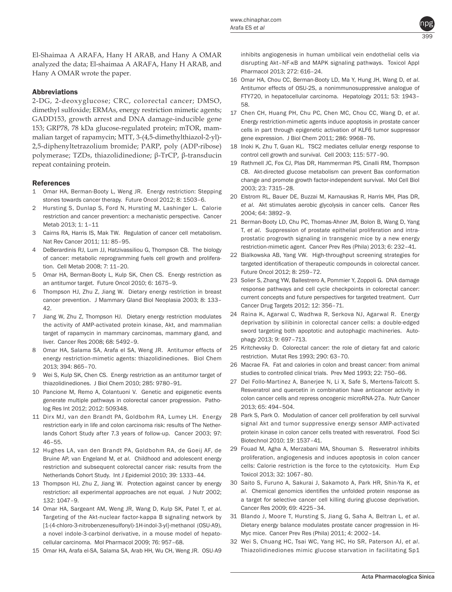

El-Shaimaa A ARAFA, Hany H ARAB, and Hany A OMAR analyzed the data; El-shaimaa A ARAFA, Hany H ARAB, and Hany A OMAR wrote the paper.

# Abbreviations

2-DG, 2-deoxyglucose; CRC, colorectal cancer; DMSO, dimethyl sulfoxide; ERMAs, energy restriction mimetic agents; GADD153, growth arrest and DNA damage-inducible gene 153; GRP78, 78 kDa glucose-regulated protein; mTOR, mammalian target of rapamycin; MTT, 3-(4,5-dimethylthiazol-2-yl)- 2,5-diphenyltetrazolium bromide; PARP, poly (ADP-ribose) polymerase; TZDs, thiazolidinedione; β-TrCP, β-transducin repeat containing protein.

### References

- 1 Omar HA, Berman-Booty L, Weng JR. Energy restriction: Stepping stones towards cancer therapy. Future Oncol 2012; 8: 1503–6.
- 2 Hursting S, Dunlap S, Ford N, Hursting M, Lashinger L. Calorie restriction and cancer prevention: a mechanistic perspective. Cancer Metab 2013; 1: 1–11
- 3 Cairns RA, Harris IS, Mak TW. Regulation of cancer cell metabolism. Nat Rev Cancer 2011; 11: 85–95.
- 4 DeBerardinis RJ, Lum JJ, Hatzivassiliou G, Thompson CB. The biology of cancer: metabolic reprogramming fuels cell growth and proliferation. Cell Metab 2008; 7: 11–20.
- 5 Omar HA, Berman-Booty L, Kulp SK, Chen CS. Energy restriction as an antitumor target. Future Oncol 2010; 6: 1675–9.
- 6 Thompson HJ, Zhu Z, Jiang W. Dietary energy restriction in breast cancer prevention. J Mammary Gland Biol Neoplasia 2003; 8: 133– 42.
- 7 Jiang W, Zhu Z, Thompson HJ. Dietary energy restriction modulates the activity of AMP-activated protein kinase, Akt, and mammalian target of rapamycin in mammary carcinomas, mammary gland, and liver. Cancer Res 2008; 68: 5492–9.
- 8 Omar HA, Salama SA, Arafa el SA, Weng JR. Antitumor effects of energy restriction-mimetic agents: thiazolidinediones. Biol Chem 2013; 394: 865–70.
- 9 Wei S, Kulp SK, Chen CS. Energy restriction as an antitumor target of thiazolidinediones. J Biol Chem 2010; 285: 9780–91.
- 10 Pancione M, Remo A, Colantuoni V. Genetic and epigenetic events generate multiple pathways in colorectal cancer progression. Patholog Res Int 2012; 2012: 509348.
- 11 Dirx MJ, van den Brandt PA, Goldbohm RA, Lumey LH. Energy restriction early in life and colon carcinoma risk: results of The Netherlands Cohort Study after 7.3 years of follow-up. Cancer 2003; 97: 46–55.
- 12 Hughes LA, van den Brandt PA, Goldbohm RA, de Goeij AF, de Bruine AP, van Engeland M, *et al*. Childhood and adolescent energy restriction and subsequent colorectal cancer risk: results from the Netherlands Cohort Study. Int J Epidemiol 2010; 39: 1333–44.
- 13 Thompson HJ, Zhu Z, Jiang W. Protection against cancer by energy restriction: all experimental approaches are not equal. J Nutr 2002; 132: 1047–9.
- 14 Omar HA, Sargeant AM, Weng JR, Wang D, Kulp SK, Patel T, *et al*. Targeting of the Akt-nuclear factor-kappa B signaling network by [1-(4-chloro-3-nitrobenzenesulfonyl)-1H-indol-3-yl]-methanol (OSU-A9), a novel indole-3-carbinol derivative, in a mouse model of hepatocellular carcinoma. Mol Pharmacol 2009; 76: 957–68.
- 15 Omar HA, Arafa el-SA, Salama SA, Arab HH, Wu CH, Weng JR. OSU-A9

inhibits angiogenesis in human umbilical vein endothelial cells via disrupting Akt–NF-κB and MAPK signaling pathways. Toxicol Appl Pharmacol 2013; 272: 616–24.

- 16 Omar HA, Chou CC, Berman-Booty LD, Ma Y, Hung JH, Wang D, *et al*. Antitumor effects of OSU-2S, a nonimmunosuppressive analogue of FTY720, in hepatocellular carcinoma. Hepatology 2011; 53: 1943– 58.
- 17 Chen CH, Huang PH, Chu PC, Chen MC, Chou CC, Wang D, *et al*. Energy restriction-mimetic agents induce apoptosis in prostate cancer cells in part through epigenetic activation of KLF6 tumor suppressor gene expression. J Biol Chem 2011; 286: 9968–76.
- 18 Inoki K, Zhu T, Guan KL. TSC2 mediates cellular energy response to control cell growth and survival. Cell 2003; 115: 577–90.
- 19 Rathmell JC, Fox CJ, Plas DR, Hammerman PS, Cinalli RM, Thompson CB. Akt-directed glucose metabolism can prevent Bax conformation change and promote growth factor-independent survival. Mol Cell Biol 2003; 23: 7315–28.
- 20 Elstrom RL, Bauer DE, Buzzai M, Karnauskas R, Harris MH, Plas DR, *et al*. Akt stimulates aerobic glycolysis in cancer cells. Cancer Res 2004; 64: 3892–9.
- 21 Berman-Booty LD, Chu PC, Thomas-Ahner JM, Bolon B, Wang D, Yang T, *et al*. Suppression of prostate epithelial proliferation and intraprostatic progrowth signaling in transgenic mice by a new energy restriction-mimetic agent. Cancer Prev Res (Phila) 2013; 6: 232–41.
- 22 Bialkowska AB, Yang VW. High-throughput screening strategies for targeted identification of therapeutic compounds in colorectal cancer. Future Oncol 2012; 8: 259–72.
- 23 Solier S, Zhang YW, Ballestrero A, Pommier Y, Zoppoli G. DNA damage response pathways and cell cycle checkpoints in colorectal cancer: current concepts and future perspectives for targeted treatment. Curr Cancer Drug Targets 2012; 12: 356–71.
- 24 Raina K, Agarwal C, Wadhwa R, Serkova NJ, Agarwal R. Energy deprivation by silibinin in colorectal cancer cells: a double-edged sword targeting both apoptotic and autophagic machineries. Autophagy 2013; 9: 697–713.
- 25 Kritchevsky D. Colorectal cancer: the role of dietary fat and caloric restriction. Mutat Res 1993; 290: 63–70.
- 26 Macrae FA. Fat and calories in colon and breast cancer: from animal studies to controlled clinical trials. Prev Med 1993; 22: 750–66.
- 27 Del Follo-Martinez A, Banerjee N, Li X, Safe S, Mertens-Talcott S. Resveratrol and quercetin in combination have anticancer activity in colon cancer cells and repress oncogenic microRNA-27a. Nutr Cancer 2013; 65: 494–504.
- 28 Park S, Park O. Modulation of cancer cell proliferation by cell survival signal Akt and tumor suppressive energy sensor AMP-activated protein kinase in colon cancer cells treated with resveratrol. Food Sci Biotechnol 2010; 19: 1537–41.
- 29 Fouad M, Agha A, Merzabani MA, Shouman S. Resveratrol inhibits proliferation, angiogenesis and induces apoptosis in colon cancer cells: Calorie restriction is the force to the cytotoxicity. Hum Exp Toxicol 2013; 32: 1067–80.
- 30 Saito S, Furuno A, Sakurai J, Sakamoto A, Park HR, Shin-Ya K, *et al*. Chemical genomics identifies the unfolded protein response as a target for selective cancer cell killing during glucose deprivation. Cancer Res 2009; 69: 4225–34.
- 31 Blando J, Moore T, Hursting S, Jiang G, Saha A, Beltran L, *et al*. Dietary energy balance modulates prostate cancer progression in Hi-Myc mice. Cancer Prev Res (Phila) 2011; 4: 2002–14.
- 32 Wei S, Chuang HC, Tsai WC, Yang HC, Ho SR, Paterson AJ, *et al*. Thiazolidinediones mimic glucose starvation in facilitating Sp1